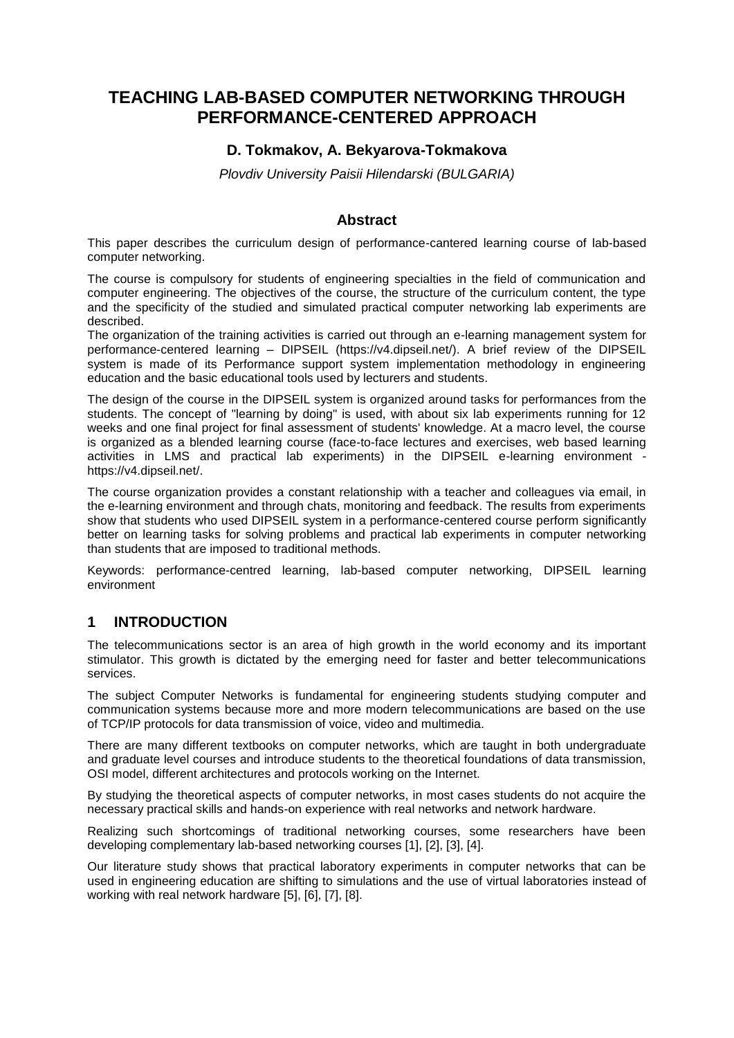# **TEACHING LAB-BASED COMPUTER NETWORKING THROUGH PERFORMANCE-CENTERED APPROACH**

### **D. Tokmakov, A. Bekyarova-Tokmakova**

*Plovdiv University Paisii Hilendarski (BULGARIA)*

#### **Abstract**

This paper describes the curriculum design of performance-cantered learning course of lab-based computer networking.

The course is compulsory for students of engineering specialties in the field of communication and computer engineering. The objectives of the course, the structure of the curriculum content, the type and the specificity of the studied and simulated practical computer networking lab experiments are described.

The organization of the training activities is carried out through an e-learning management system for performance-centered learning – DIPSEIL (https://v4.dipseil.net/). A brief review of the DIPSEIL system is made of its Performance support system implementation methodology in engineering education and the basic educational tools used by lecturers and students.

The design of the course in the DIPSEIL system is organized around tasks for performances from the students. The concept of "learning by doing" is used, with about six lab experiments running for 12 weeks and one final project for final assessment of students' knowledge. At a macro level, the course is organized as a blended learning course (face-to-face lectures and exercises, web based learning activities in LMS and practical lab experiments) in the DIPSEIL e-learning environment https://v4.dipseil.net/.

The course organization provides a constant relationship with a teacher and colleagues via email, in the e-learning environment and through chats, monitoring and feedback. The results from experiments show that students who used DIPSEIL system in a performance-centered course perform significantly better on learning tasks for solving problems and practical lab experiments in computer networking than students that are imposed to traditional methods.

Keywords: performance-centred learning, lab-based computer networking, DIPSEIL learning environment

#### **1 INTRODUCTION**

The telecommunications sector is an area of high growth in the world economy and its important stimulator. This growth is dictated by the emerging need for faster and better telecommunications services.

The subject Computer Networks is fundamental for engineering students studying computer and communication systems because more and more modern telecommunications are based on the use of TCP/IP protocols for data transmission of voice, video and multimedia.

There are many different textbooks on computer networks, which are taught in both undergraduate and graduate level courses and introduce students to the theoretical foundations of data transmission, OSI model, different architectures and protocols working on the Internet.

By studying the theoretical aspects of computer networks, in most cases students do not acquire the necessary practical skills and hands-on experience with real networks and network hardware.

Realizing such shortcomings of traditional networking courses, some researchers have been developing complementary lab-based networking courses [1], [2], [3], [4].

Our literature study shows that practical laboratory experiments in computer networks that can be used in engineering education are shifting to simulations and the use of virtual laboratories instead of working with real network hardware [5], [6], [7], [8].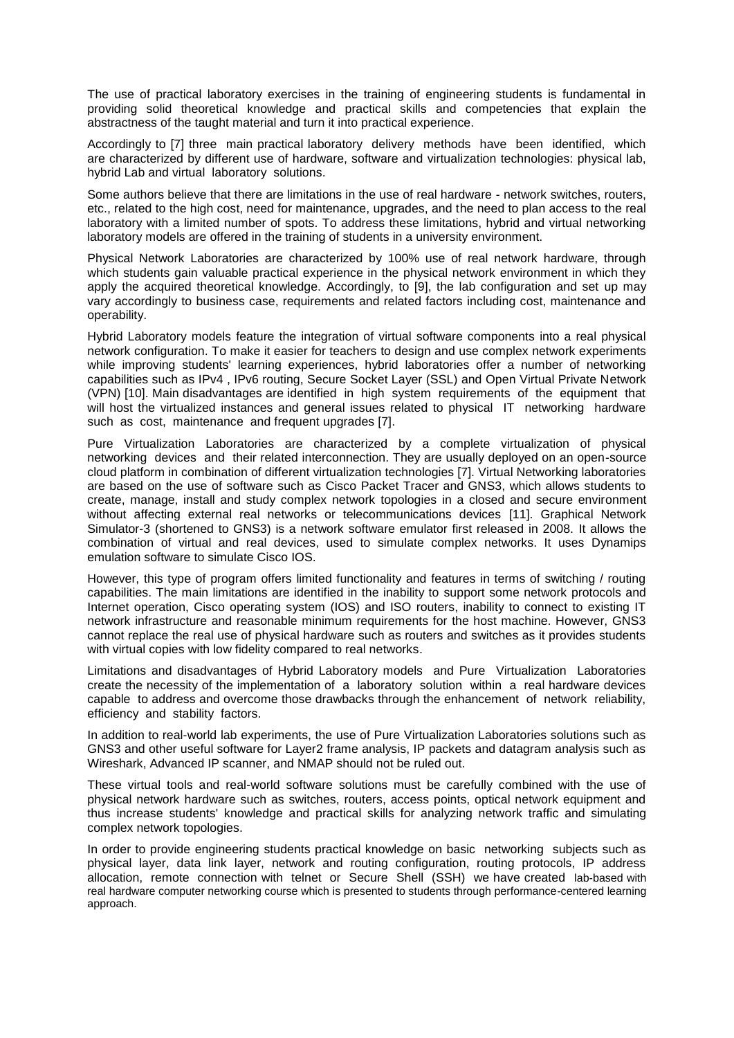The use of practical laboratory exercises in the training of engineering students is fundamental in providing solid theoretical knowledge and practical skills and competencies that explain the abstractness of the taught material and turn it into practical experience.

Accordingly to [7] three main practical laboratory delivery methods have been identified, which are characterized by different use of hardware, software and virtualization technologies: physical lab, hybrid Lab and virtual laboratory solutions.

Some authors believe that there are limitations in the use of real hardware - network switches, routers, etc., related to the high cost, need for maintenance, upgrades, and the need to plan access to the real laboratory with a limited number of spots. To address these limitations, hybrid and virtual networking laboratory models are offered in the training of students in a university environment.

Physical Network Laboratories are characterized by 100% use of real network hardware, through which students gain valuable practical experience in the physical network environment in which they apply the acquired theoretical knowledge. Accordingly, to [9], the lab configuration and set up may vary accordingly to business case, requirements and related factors including cost, maintenance and operability.

Hybrid Laboratory models feature the integration of virtual software components into a real physical network configuration. To make it easier for teachers to design and use complex network experiments while improving students' learning experiences, hybrid laboratories offer a number of networking capabilities such as IPv4 , IPv6 routing, Secure Socket Layer (SSL) and Open Virtual Private Network (VPN) [10]. Main disadvantages are identified in high system requirements of the equipment that will host the virtualized instances and general issues related to physical IT networking hardware such as cost, maintenance and frequent upgrades [7].

Pure Virtualization Laboratories are characterized by a complete virtualization of physical networking devices and their related interconnection. They are usually deployed on an open-source cloud platform in combination of different virtualization technologies [7]. Virtual Networking laboratories are based on the use of software such as Cisco Packet Tracer and GNS3, which allows students to create, manage, install and study complex network topologies in a closed and secure environment without affecting external real networks or telecommunications devices [11]. Graphical Network Simulator-3 (shortened to GNS3) is a network software emulator first released in 2008. It allows the combination of virtual and real devices, used to simulate complex networks. It uses Dynamips emulation software to simulate Cisco IOS.

However, this type of program offers limited functionality and features in terms of switching / routing capabilities. The main limitations are identified in the inability to support some network protocols and Internet operation, Cisco operating system (IOS) and ISO routers, inability to connect to existing IT network infrastructure and reasonable minimum requirements for the host machine. However, GNS3 cannot replace the real use of physical hardware such as routers and switches as it provides students with virtual copies with low fidelity compared to real networks.

Limitations and disadvantages of Hybrid Laboratory models and Pure Virtualization Laboratories create the necessity of the implementation of a laboratory solution within a real hardware devices capable to address and overcome those drawbacks through the enhancement of network reliability, efficiency and stability factors.

In addition to real-world lab experiments, the use of Pure Virtualization Laboratories solutions such as GNS3 and other useful software for Layer2 frame analysis, IP packets and datagram analysis such as Wireshark, Advanced IP scanner, and NMAP should not be ruled out.

These virtual tools and real-world software solutions must be carefully combined with the use of physical network hardware such as switches, routers, access points, optical network equipment and thus increase students' knowledge and practical skills for analyzing network traffic and simulating complex network topologies.

In order to provide engineering students practical knowledge on basic networking subjects such as physical layer, data link layer, network and routing configuration, routing protocols, IP address allocation, remote connection with telnet or Secure Shell (SSH) we have created lab-based with real hardware computer networking course which is presented to students through performance-centered learning approach.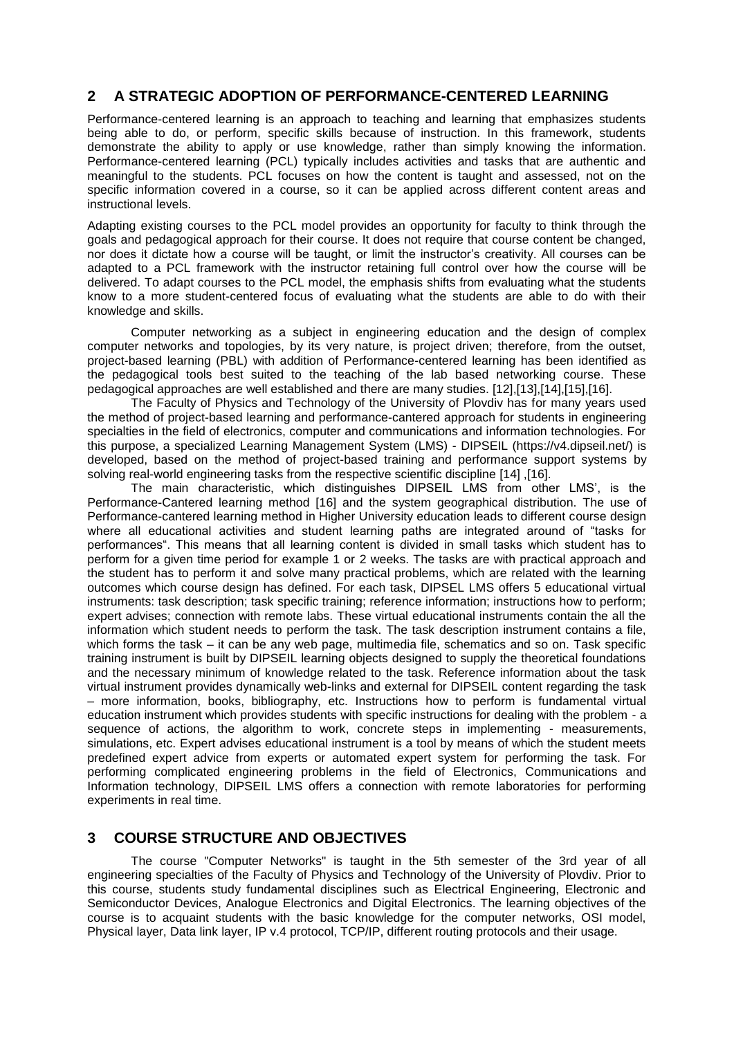### **2 A STRATEGIC ADOPTION OF PERFORMANCE-CENTERED LEARNING**

Performance-centered learning is an approach to teaching and learning that emphasizes students being able to do, or perform, specific skills because of instruction. In this framework, students demonstrate the ability to apply or use knowledge, rather than simply knowing the information. Performance-centered learning (PCL) typically includes activities and tasks that are authentic and meaningful to the students. PCL focuses on how the content is taught and assessed, not on the specific information covered in a course, so it can be applied across different content areas and instructional levels.

Adapting existing courses to the PCL model provides an opportunity for faculty to think through the goals and pedagogical approach for their course. It does not require that course content be changed, nor does it dictate how a course will be taught, or limit the instructor's creativity. All courses can be adapted to a PCL framework with the instructor retaining full control over how the course will be delivered. To adapt courses to the PCL model, the emphasis shifts from evaluating what the students know to a more student-centered focus of evaluating what the students are able to do with their knowledge and skills.

Computer networking as a subject in engineering education and the design of complex computer networks and topologies, by its very nature, is project driven; therefore, from the outset, project-based learning (PBL) with addition of Performance-centered learning has been identified as the pedagogical tools best suited to the teaching of the lab based networking course. These pedagogical approaches are well established and there are many studies. [12],[13],[14],[15],[16].

The Faculty of Physics and Technology of the University of Plovdiv has for many years used the method of project-based learning and performance-cantered approach for students in engineering specialties in the field of electronics, computer and communications and information technologies. For this purpose, a specialized Learning Management System (LMS) - DIPSEIL (https://v4.dipseil.net/) is developed, based on the method of project-based training and performance support systems by solving real-world engineering tasks from the respective scientific discipline [14] ,[16].

The main characteristic, which distinguishes DIPSEIL LMS from other LMS', is the Performance-Cantered learning method [16] and the system geographical distribution. The use of Performance-cantered learning method in Higher University education leads to different course design where all educational activities and student learning paths are integrated around of "tasks for performances". This means that all learning content is divided in small tasks which student has to perform for a given time period for example 1 or 2 weeks. The tasks are with practical approach and the student has to perform it and solve many practical problems, which are related with the learning outcomes which course design has defined. For each task, DIPSEL LMS offers 5 educational virtual instruments: task description; task specific training; reference information; instructions how to perform; expert advises; connection with remote labs. These virtual educational instruments contain the all the information which student needs to perform the task. The task description instrument contains a file, which forms the task – it can be any web page, multimedia file, schematics and so on. Task specific training instrument is built by DIPSEIL learning objects designed to supply the theoretical foundations and the necessary minimum of knowledge related to the task. Reference information about the task virtual instrument provides dynamically web-links and external for DIPSEIL content regarding the task – more information, books, bibliography, etc. Instructions how to perform is fundamental virtual education instrument which provides students with specific instructions for dealing with the problem - a sequence of actions, the algorithm to work, concrete steps in implementing - measurements, simulations, etc. Expert advises educational instrument is a tool by means of which the student meets predefined expert advice from experts or automated expert system for performing the task. For performing complicated engineering problems in the field of Electronics, Communications and Information technology, DIPSEIL LMS offers a connection with remote laboratories for performing experiments in real time.

#### **3 COURSE STRUCTURE AND OBJECTIVES**

The course "Computer Networks" is taught in the 5th semester of the 3rd year of all engineering specialties of the Faculty of Physics and Technology of the University of Plovdiv. Prior to this course, students study fundamental disciplines such as Electrical Engineering, Electronic and Semiconductor Devices, Analogue Electronics and Digital Electronics. The learning objectives of the course is to acquaint students with the basic knowledge for the computer networks, OSI model, Physical layer, Data link layer, IP v.4 protocol, TCP/IP, different routing protocols and their usage.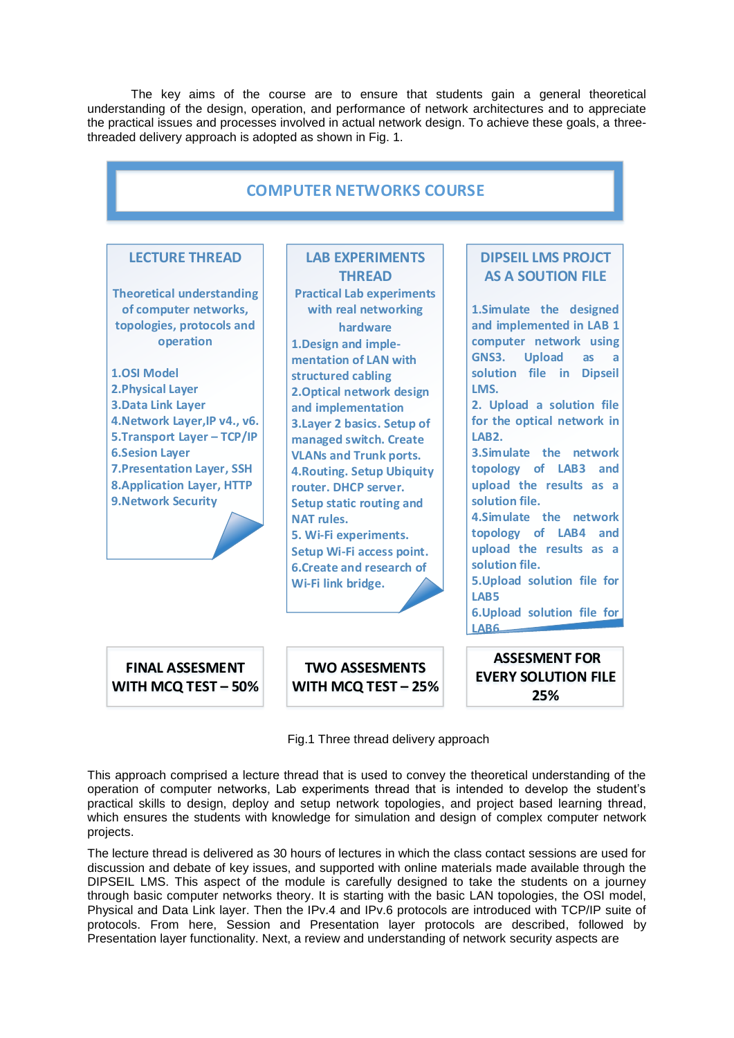The key aims of the course are to ensure that students gain a general theoretical understanding of the design, operation, and performance of network architectures and to appreciate the practical issues and processes involved in actual network design. To achieve these goals, a threethreaded delivery approach is adopted as shown in Fig. 1.

| <b>COMPUTER NETWORKS COURSE</b>                                                                                                                                                                                                                                                                                                                                                                             |                                                                                                                                                                                                                                                                                                                                                                                                                                                                                                                                                                   |                                                                                                                                                                                                                                                                                                                                                                                                                                                                                                                                                                                         |  |  |
|-------------------------------------------------------------------------------------------------------------------------------------------------------------------------------------------------------------------------------------------------------------------------------------------------------------------------------------------------------------------------------------------------------------|-------------------------------------------------------------------------------------------------------------------------------------------------------------------------------------------------------------------------------------------------------------------------------------------------------------------------------------------------------------------------------------------------------------------------------------------------------------------------------------------------------------------------------------------------------------------|-----------------------------------------------------------------------------------------------------------------------------------------------------------------------------------------------------------------------------------------------------------------------------------------------------------------------------------------------------------------------------------------------------------------------------------------------------------------------------------------------------------------------------------------------------------------------------------------|--|--|
| <b>LECTURE THREAD</b><br><b>Theoretical understanding</b><br>of computer networks,<br>topologies, protocols and<br>operation<br><b>1.0SI Model</b><br><b>2. Physical Layer</b><br><b>3.Data Link Layer</b><br>4. Network Layer, IP v4., v6.<br>5. Transport Layer - TCP/IP<br><b>6.Sesion Layer</b><br><b>7. Presentation Layer, SSH</b><br><b>8. Application Layer, HTTP</b><br><b>9. Network Security</b> | <b>LAB EXPERIMENTS</b><br><b>THREAD</b><br><b>Practical Lab experiments</b><br>with real networking<br>hardware<br>1. Design and imple-<br>mentation of LAN with<br>structured cabling<br>2. Optical network design<br>and implementation<br>3. Layer 2 basics. Setup of<br>managed switch. Create<br><b>VLANs and Trunk ports.</b><br><b>4. Routing. Setup Ubiquity</b><br>router. DHCP server.<br><b>Setup static routing and</b><br>NAT rules.<br>5. Wi-Fi experiments.<br>Setup Wi-Fi access point.<br><b>6. Create and research of</b><br>Wi-Fi link bridge. | <b>DIPSEIL LMS PROJCT</b><br><b>AS A SOUTION FILE</b><br>1.Simulate the designed<br>and implemented in LAB 1<br>computer network using<br><b>Upload</b><br>GNS3.<br>as<br>a<br>solution file in Dipseil<br>LMS.<br>2. Upload a solution file<br>for the optical network in<br>LAR <sub>2</sub><br>3. Simulate the network<br>topology of LAB3 and<br>upload the results as a<br>solution file.<br>4.Simulate the network<br>topology of LAB4 and<br>upload the results as a<br>solution file.<br>5. Upload solution file for<br>LAB5<br>6. Upload solution file for<br>LAB <sub>6</sub> |  |  |
| <b>FINAL ASSESMENT</b><br>WITH MCQ TEST - 50%                                                                                                                                                                                                                                                                                                                                                               | <b>TWO ASSESMENTS</b><br>WITH MCQ TEST - 25%                                                                                                                                                                                                                                                                                                                                                                                                                                                                                                                      | <b>ASSESMENT FOR</b><br><b>EVERY SOLUTION FILE</b><br>25%                                                                                                                                                                                                                                                                                                                                                                                                                                                                                                                               |  |  |

Fig.1 Three thread delivery approach

This approach comprised a lecture thread that is used to convey the theoretical understanding of the operation of computer networks, Lab experiments thread that is intended to develop the student's practical skills to design, deploy and setup network topologies, and project based learning thread, which ensures the students with knowledge for simulation and design of complex computer network projects.

The lecture thread is delivered as 30 hours of lectures in which the class contact sessions are used for discussion and debate of key issues, and supported with online materials made available through the DIPSEIL LMS. This aspect of the module is carefully designed to take the students on a journey through basic computer networks theory. It is starting with the basic LAN topologies, the OSI model, Physical and Data Link layer. Then the IPv.4 and IPv.6 protocols are introduced with TCP/IP suite of protocols. From here, Session and Presentation layer protocols are described, followed by Presentation layer functionality. Next, a review and understanding of network security aspects are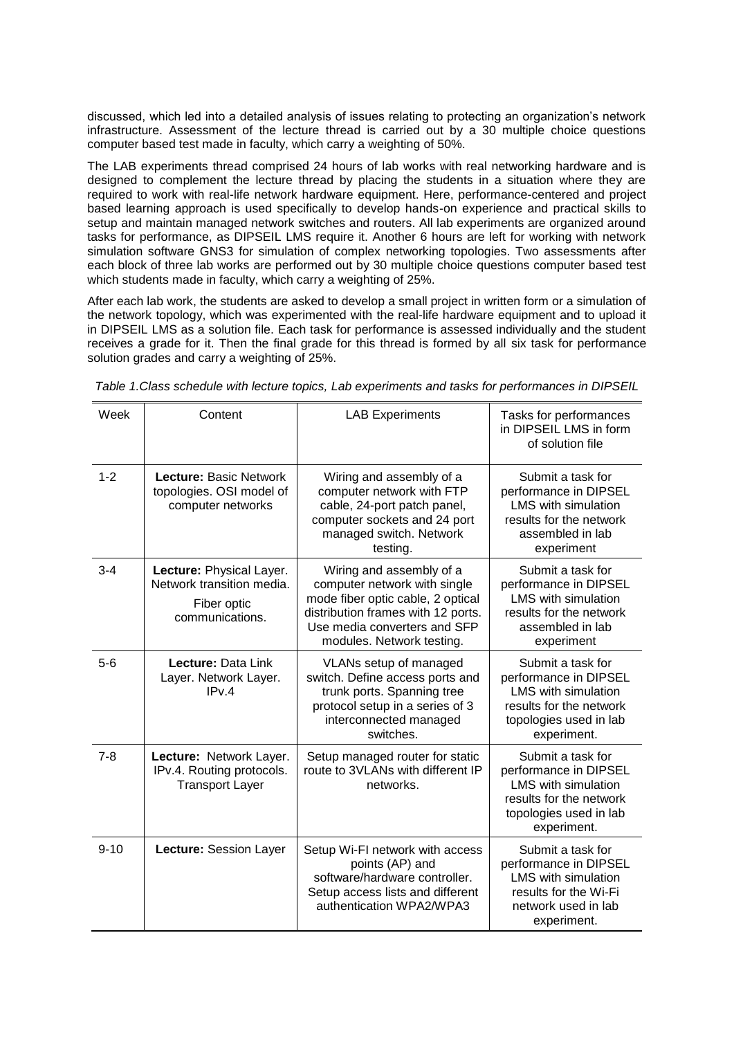discussed, which led into a detailed analysis of issues relating to protecting an organization's network infrastructure. Assessment of the lecture thread is carried out by a 30 multiple choice questions computer based test made in faculty, which carry a weighting of 50%.

The LAB experiments thread comprised 24 hours of lab works with real networking hardware and is designed to complement the lecture thread by placing the students in a situation where they are required to work with real-life network hardware equipment. Here, performance-centered and project based learning approach is used specifically to develop hands-on experience and practical skills to setup and maintain managed network switches and routers. All lab experiments are organized around tasks for performance, as DIPSEIL LMS require it. Another 6 hours are left for working with network simulation software GNS3 for simulation of complex networking topologies. Two assessments after each block of three lab works are performed out by 30 multiple choice questions computer based test which students made in faculty, which carry a weighting of 25%.

After each lab work, the students are asked to develop a small project in written form or a simulation of the network topology, which was experimented with the real-life hardware equipment and to upload it in DIPSEIL LMS as a solution file. Each task for performance is assessed individually and the student receives a grade for it. Then the final grade for this thread is formed by all six task for performance solution grades and carry a weighting of 25%.

| Week     | Content                                                                                 | <b>LAB Experiments</b>                                                                                                                                                                           | Tasks for performances<br>in DIPSEIL LMS in form<br>of solution file                                                                         |
|----------|-----------------------------------------------------------------------------------------|--------------------------------------------------------------------------------------------------------------------------------------------------------------------------------------------------|----------------------------------------------------------------------------------------------------------------------------------------------|
| $1 - 2$  | <b>Lecture: Basic Network</b><br>topologies. OSI model of<br>computer networks          | Wiring and assembly of a<br>computer network with FTP<br>cable, 24-port patch panel,<br>computer sockets and 24 port<br>managed switch. Network<br>testing.                                      | Submit a task for<br>performance in DIPSEL<br><b>LMS</b> with simulation<br>results for the network<br>assembled in lab<br>experiment        |
| $3 - 4$  | Lecture: Physical Layer.<br>Network transition media.<br>Fiber optic<br>communications. | Wiring and assembly of a<br>computer network with single<br>mode fiber optic cable, 2 optical<br>distribution frames with 12 ports.<br>Use media converters and SFP<br>modules. Network testing. | Submit a task for<br>performance in DIPSEL<br><b>LMS</b> with simulation<br>results for the network<br>assembled in lab<br>experiment        |
| $5-6$    | Lecture: Data Link<br>Layer. Network Layer.<br>IPv.4                                    | VLANs setup of managed<br>switch. Define access ports and<br>trunk ports. Spanning tree<br>protocol setup in a series of 3<br>interconnected managed<br>switches.                                | Submit a task for<br>performance in DIPSEL<br><b>LMS</b> with simulation<br>results for the network<br>topologies used in lab<br>experiment. |
| $7 - 8$  | Lecture: Network Layer.<br>IPv.4. Routing protocols.<br><b>Transport Layer</b>          | Setup managed router for static<br>route to 3VLANs with different IP<br>networks.                                                                                                                | Submit a task for<br>performance in DIPSEL<br><b>LMS</b> with simulation<br>results for the network<br>topologies used in lab<br>experiment. |
| $9 - 10$ | Lecture: Session Layer                                                                  | Setup Wi-FI network with access<br>points (AP) and<br>software/hardware controller.<br>Setup access lists and different<br>authentication WPA2/WPA3                                              | Submit a task for<br>performance in DIPSEL<br><b>LMS</b> with simulation<br>results for the Wi-Fi<br>network used in lab<br>experiment.      |

*Table 1.Class schedule with lecture topics, Lab experiments and tasks for performances in DIPSEIL*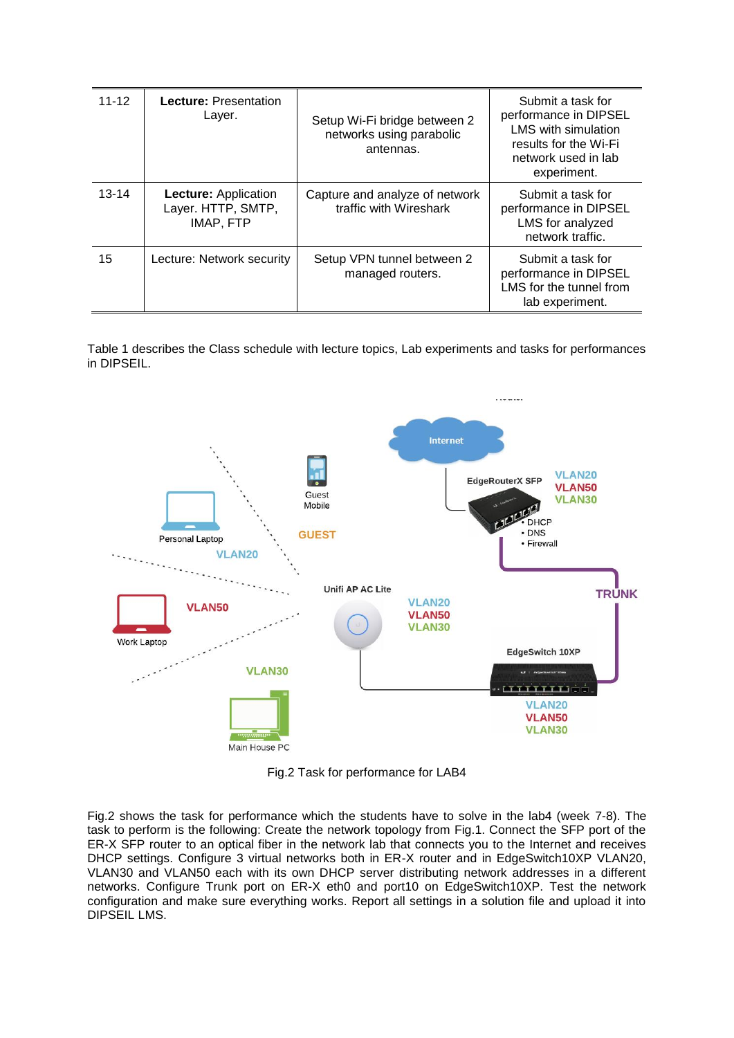| $11 - 12$ | Lecture: Presentation<br>Layer.                                | Setup Wi-Fi bridge between 2<br>networks using parabolic<br>antennas. | Submit a task for<br>performance in DIPSEL<br>LMS with simulation<br>results for the Wi-Fi<br>network used in lab<br>experiment. |
|-----------|----------------------------------------------------------------|-----------------------------------------------------------------------|----------------------------------------------------------------------------------------------------------------------------------|
| $13 - 14$ | <b>Lecture: Application</b><br>Layer. HTTP, SMTP,<br>IMAP, FTP | Capture and analyze of network<br>traffic with Wireshark              | Submit a task for<br>performance in DIPSEL<br>LMS for analyzed<br>network traffic.                                               |
| 15        | Lecture: Network security                                      | Setup VPN tunnel between 2<br>managed routers.                        | Submit a task for<br>performance in DIPSEL<br>LMS for the tunnel from<br>lab experiment.                                         |

Table 1 describes the Class schedule with lecture topics, Lab experiments and tasks for performances in DIPSEIL.



Fig.2 Task for performance for LAB4

Fig.2 shows the task for performance which the students have to solve in the lab4 (week 7-8). The task to perform is the following: Create the network topology from Fig.1. Connect the SFP port of the ER-X SFP router to an optical fiber in the network lab that connects you to the Internet and receives DHCP settings. Configure 3 virtual networks both in ER-X router and in EdgeSwitch10XP VLAN20, VLAN30 and VLAN50 each with its own DHCP server distributing network addresses in a different networks. Configure Trunk port on ER-X eth0 and port10 on EdgeSwitch10XP. Test the network configuration and make sure everything works. Report all settings in a solution file and upload it into DIPSEIL LMS.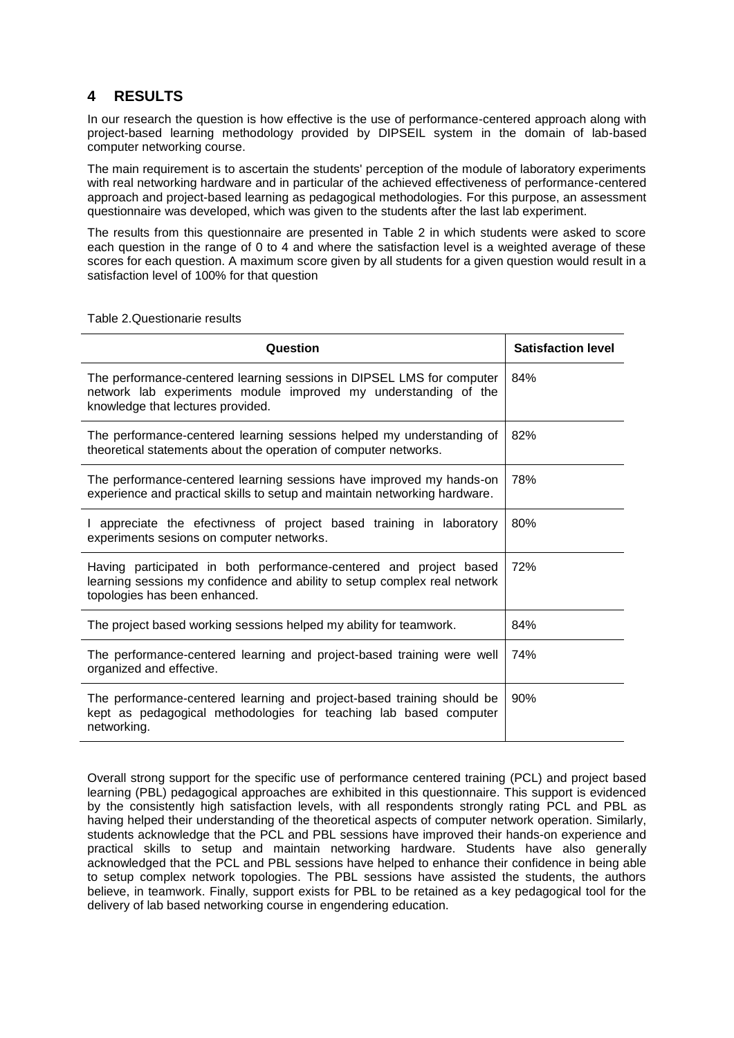# **4 RESULTS**

In our research the question is how effective is the use of performance-centered approach along with project-based learning methodology provided by DIPSEIL system in the domain of lab-based computer networking course.

The main requirement is to ascertain the students' perception of the module of laboratory experiments with real networking hardware and in particular of the achieved effectiveness of performance-centered approach and project-based learning as pedagogical methodologies. For this purpose, an assessment questionnaire was developed, which was given to the students after the last lab experiment.

The results from this questionnaire are presented in Table 2 in which students were asked to score each question in the range of 0 to 4 and where the satisfaction level is a weighted average of these scores for each question. A maximum score given by all students for a given question would result in a satisfaction level of 100% for that question

| Question                                                                                                                                                                         | <b>Satisfaction level</b> |
|----------------------------------------------------------------------------------------------------------------------------------------------------------------------------------|---------------------------|
| The performance-centered learning sessions in DIPSEL LMS for computer<br>network lab experiments module improved my understanding of the<br>knowledge that lectures provided.    | 84%                       |
| The performance-centered learning sessions helped my understanding of<br>theoretical statements about the operation of computer networks.                                        | 82%                       |
| The performance-centered learning sessions have improved my hands-on<br>experience and practical skills to setup and maintain networking hardware.                               | 78%                       |
| I appreciate the efectivness of project based training in laboratory<br>experiments sesions on computer networks.                                                                | 80%                       |
| Having participated in both performance-centered and project based<br>learning sessions my confidence and ability to setup complex real network<br>topologies has been enhanced. | 72%                       |
| The project based working sessions helped my ability for teamwork.                                                                                                               | 84%                       |
| The performance-centered learning and project-based training were well<br>organized and effective.                                                                               | 74%                       |
| The performance-centered learning and project-based training should be<br>kept as pedagogical methodologies for teaching lab based computer<br>networking.                       | 90%                       |

Table 2.Questionarie results

Overall strong support for the specific use of performance centered training (PCL) and project based learning (PBL) pedagogical approaches are exhibited in this questionnaire. This support is evidenced by the consistently high satisfaction levels, with all respondents strongly rating PCL and PBL as having helped their understanding of the theoretical aspects of computer network operation. Similarly, students acknowledge that the PCL and PBL sessions have improved their hands-on experience and practical skills to setup and maintain networking hardware. Students have also generally acknowledged that the PCL and PBL sessions have helped to enhance their confidence in being able to setup complex network topologies. The PBL sessions have assisted the students, the authors believe, in teamwork. Finally, support exists for PBL to be retained as a key pedagogical tool for the delivery of lab based networking course in engendering education.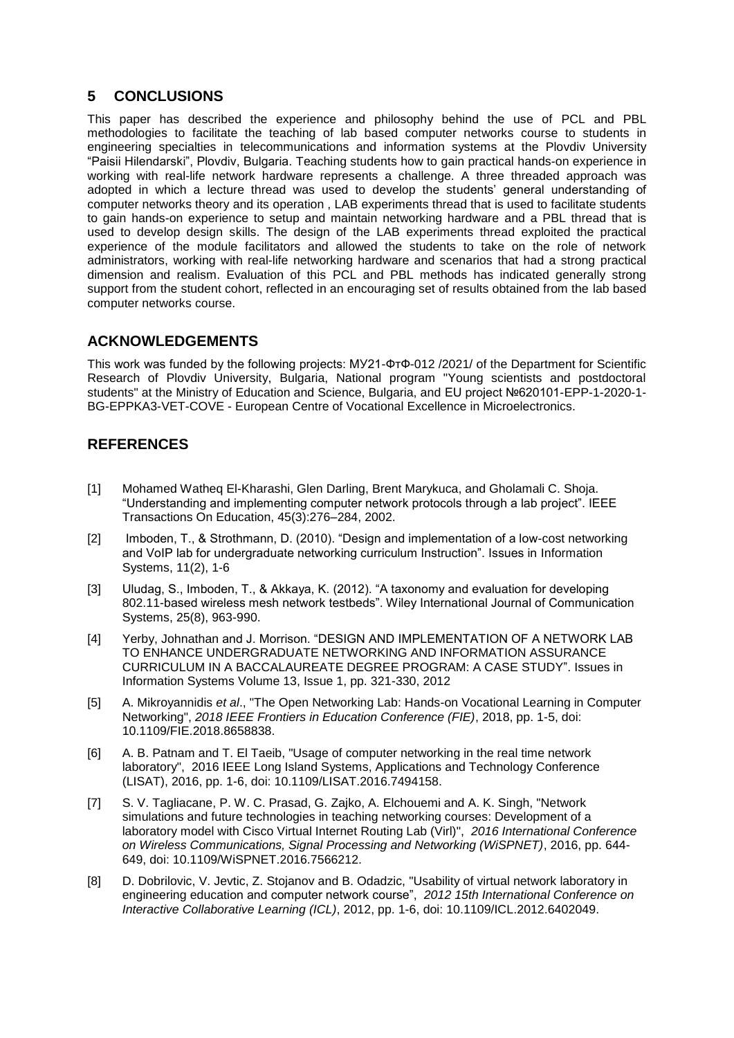# **5 CONCLUSIONS**

This paper has described the experience and philosophy behind the use of PCL and PBL methodologies to facilitate the teaching of lab based computer networks course to students in engineering specialties in telecommunications and information systems at the Plovdiv University "Paisii Hilendarski", Plovdiv, Bulgaria. Teaching students how to gain practical hands-on experience in working with real-life network hardware represents a challenge. A three threaded approach was adopted in which a lecture thread was used to develop the students' general understanding of computer networks theory and its operation , LAB experiments thread that is used to facilitate students to gain hands-on experience to setup and maintain networking hardware and a PBL thread that is used to develop design skills. The design of the LAB experiments thread exploited the practical experience of the module facilitators and allowed the students to take on the role of network administrators, working with real-life networking hardware and scenarios that had a strong practical dimension and realism. Evaluation of this PCL and PBL methods has indicated generally strong support from the student cohort, reflected in an encouraging set of results obtained from the lab based computer networks course.

# **ACKNOWLEDGEMENTS**

This work was funded by the following projects: МУ21-ФтФ-012 /2021/ of the Department for Scientific Research of Plovdiv University, Bulgaria, National program "Young scientists and postdoctoral students" at the Ministry of Education and Science, Bulgaria, and EU project №620101-EPP-1-2020-1- BG-EPPKA3-VET-COVE - European Centre of Vocational Excellence in Microelectronics.

# **REFERENCES**

- [1] Mohamed Watheq El-Kharashi, Glen Darling, Brent Marykuca, and Gholamali C. Shoja. "Understanding and implementing computer network protocols through a lab project". IEEE Transactions On Education, 45(3):276–284, 2002.
- [2] Imboden, T., & Strothmann, D. (2010). "Design and implementation of a low-cost networking and VoIP lab for undergraduate networking curriculum Instruction". Issues in Information Systems, 11(2), 1-6
- [3] Uludag, S., Imboden, T., & Akkaya, K. (2012). "A taxonomy and evaluation for developing 802.11-based wireless mesh network testbeds". Wiley International Journal of Communication Systems, 25(8), 963-990.
- [4] Yerby, Johnathan and J. Morrison. "DESIGN AND IMPLEMENTATION OF A NETWORK LAB TO ENHANCE UNDERGRADUATE NETWORKING AND INFORMATION ASSURANCE CURRICULUM IN A BACCALAUREATE DEGREE PROGRAM: A CASE STUDY". Issues in Information Systems Volume 13, Issue 1, pp. 321-330, 2012
- [5] A. Mikroyannidis *et al*., "The Open Networking Lab: Hands-on Vocational Learning in Computer Networking", *2018 IEEE Frontiers in Education Conference (FIE)*, 2018, pp. 1-5, doi: 10.1109/FIE.2018.8658838.
- [6] A. B. Patnam and T. El Taeib, "Usage of computer networking in the real time network laboratory", 2016 IEEE Long Island Systems, Applications and Technology Conference (LISAT), 2016, pp. 1-6, doi: 10.1109/LISAT.2016.7494158.
- [7] S. V. Tagliacane, P. W. C. Prasad, G. Zajko, A. Elchouemi and A. K. Singh, "Network simulations and future technologies in teaching networking courses: Development of a laboratory model with Cisco Virtual Internet Routing Lab (Virl)", *2016 International Conference on Wireless Communications, Signal Processing and Networking (WiSPNET)*, 2016, pp. 644- 649, doi: 10.1109/WiSPNET.2016.7566212.
- [8] D. Dobrilovic, V. Jevtic, Z. Stojanov and B. Odadzic, "Usability of virtual network laboratory in engineering education and computer network course", *2012 15th International Conference on Interactive Collaborative Learning (ICL)*, 2012, pp. 1-6, doi: 10.1109/ICL.2012.6402049.